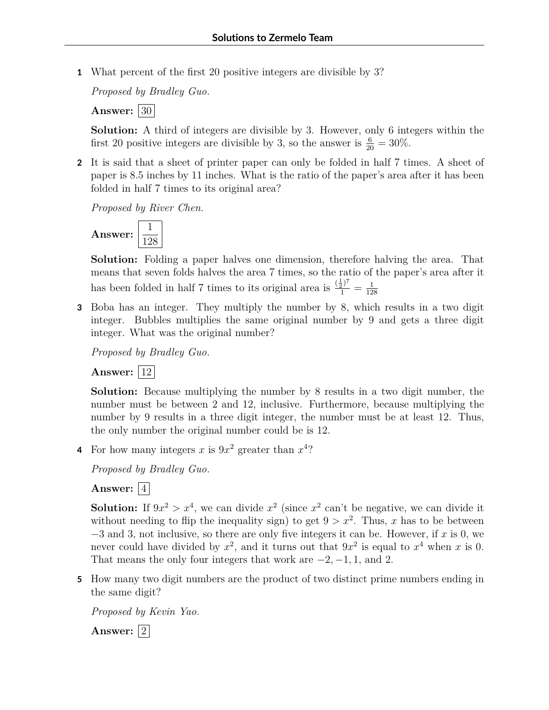**1** What percent of the first 20 positive integers are divisible by 3?

*Proposed by Bradley Guo.*

**Answer:** 30

**Solution:** A third of integers are divisible by 3. However, only 6 integers within the first 20 positive integers are divisible by 3, so the answer is  $\frac{6}{20} = 30\%$ .

**2** It is said that a sheet of printer paper can only be folded in half 7 times. A sheet of paper is 8.5 inches by 11 inches. What is the ratio of the paper's area after it has been folded in half 7 times to its original area?

*Proposed by River Chen.*



**Solution:** Folding a paper halves one dimension, therefore halving the area. That means that seven folds halves the area 7 times, so the ratio of the paper's area after it has been folded in half 7 times to its original area is  $\frac{(\frac{1}{2})^7}{1} = \frac{1}{12}$ 128

**3** Boba has an integer. They multiply the number by 8, which results in a two digit integer. Bubbles multiplies the same original number by 9 and gets a three digit integer. What was the original number?

*Proposed by Bradley Guo.*

**Answer:** |12|

**Solution:** Because multiplying the number by 8 results in a two digit number, the number must be between 2 and 12, inclusive. Furthermore, because multiplying the number by 9 results in a three digit integer, the number must be at least 12. Thus, the only number the original number could be is 12.

**4** For how many integers x is  $9x^2$  greater than  $x^4$ ?

*Proposed by Bradley Guo.*

Answer:  $|4|$ 

**Solution:** If  $9x^2 > x^4$ , we can divide  $x^2$  (since  $x^2$  can't be negative, we can divide it without needing to flip the inequality sign) to get  $9 > x^2$ . Thus, *x* has to be between −3 and 3, not inclusive, so there are only five integers it can be. However, if *x* is 0, we never could have divided by  $x^2$ , and it turns out that  $9x^2$  is equal to  $x^4$  when *x* is 0. That means the only four integers that work are −2*,* −1*,* 1*,* and 2.

**5** How many two digit numbers are the product of two distinct prime numbers ending in the same digit?

*Proposed by Kevin Yao.*

Answer:  $|2|$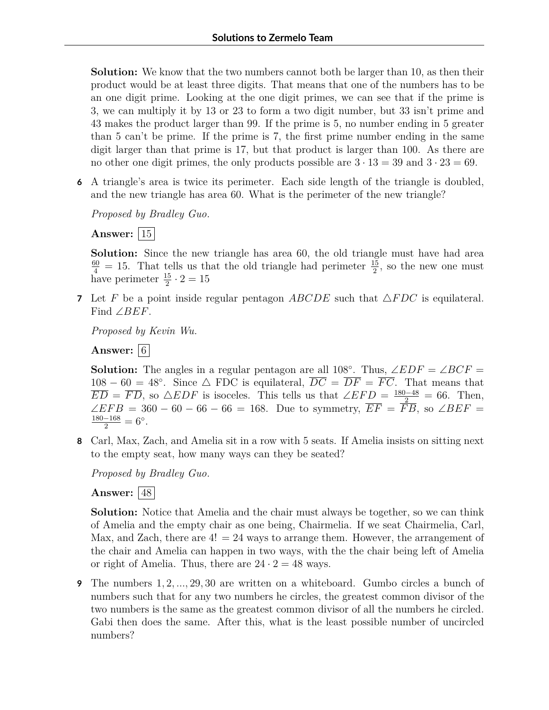**Solution:** We know that the two numbers cannot both be larger than 10, as then their product would be at least three digits. That means that one of the numbers has to be an one digit prime. Looking at the one digit primes, we can see that if the prime is 3, we can multiply it by 13 or 23 to form a two digit number, but 33 isn't prime and 43 makes the product larger than 99. If the prime is 5, no number ending in 5 greater than 5 can't be prime. If the prime is 7, the first prime number ending in the same digit larger than that prime is 17, but that product is larger than 100. As there are no other one digit primes, the only products possible are  $3 \cdot 13 = 39$  and  $3 \cdot 23 = 69$ .

**6** A triangle's area is twice its perimeter. Each side length of the triangle is doubled, and the new triangle has area 60. What is the perimeter of the new triangle?

*Proposed by Bradley Guo.*

**Answer:** 15

**Solution:** Since the new triangle has area 60, the old triangle must have had area  $\frac{60}{4}$  = 15. That tells us that the old triangle had perimeter  $\frac{15}{2}$ , so the new one must have perimeter  $\frac{15}{2} \cdot 2 = 15$ 

**7** Let *F* be a point inside regular pentagon *ABCDE* such that  $\triangle FDC$  is equilateral. Find ∠*BEF*.

*Proposed by Kevin Wu.*

**Answer:**  $|6|$ 

**Solution:** The angles in a regular pentagon are all 108°. Thus,  $\angle EDF = \angle BCF =$  $108 - 60 = 48^\circ$ . Since  $\triangle$  FDC is equilateral,  $\overline{DC} = \overline{DF} = \overline{FC}$ . That means that  $\overline{ED} = \overline{FD}$ , so  $\triangle EDF$  is isoceles. This tells us that  $\angle EFD = \frac{180-48}{2} = 66$ . Then,  $\angle EFB = 360 - 60 - 66 - 66 = 168$ . Due to symmetry,  $\overline{EF} = \overline{FB}$ , so  $\angle BEF =$  $\frac{180-168}{2} = 6^{\circ}.$ 

**8** Carl, Max, Zach, and Amelia sit in a row with 5 seats. If Amelia insists on sitting next to the empty seat, how many ways can they be seated?

*Proposed by Bradley Guo.*

**Answer:** 48

**Solution:** Notice that Amelia and the chair must always be together, so we can think of Amelia and the empty chair as one being, Chairmelia. If we seat Chairmelia, Carl, Max, and Zach, there are  $4! = 24$  ways to arrange them. However, the arrangement of the chair and Amelia can happen in two ways, with the the chair being left of Amelia or right of Amelia. Thus, there are  $24 \cdot 2 = 48$  ways.

**9** The numbers 1*,* 2*, ...,* 29*,* 30 are written on a whiteboard. Gumbo circles a bunch of numbers such that for any two numbers he circles, the greatest common divisor of the two numbers is the same as the greatest common divisor of all the numbers he circled. Gabi then does the same. After this, what is the least possible number of uncircled numbers?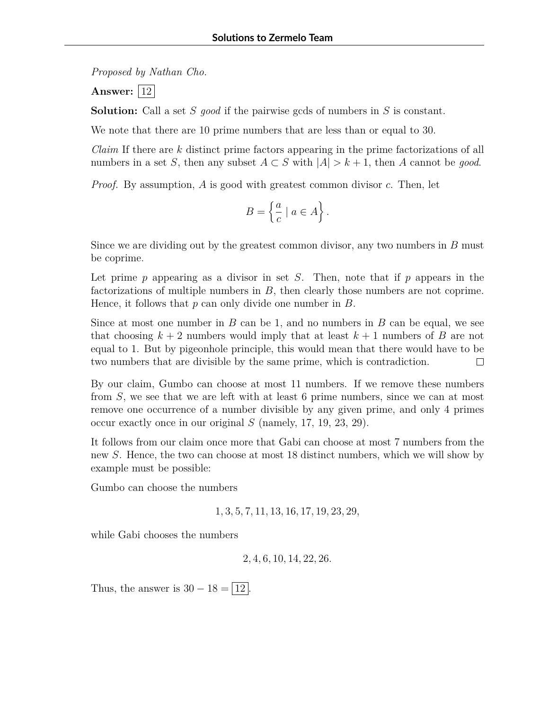*Proposed by Nathan Cho.*

**Answer:** |12|

**Solution:** Call a set *S good* if the pairwise gcds of numbers in *S* is constant.

We note that there are 10 prime numbers that are less than or equal to 30.

*Claim* If there are *k* distinct prime factors appearing in the prime factorizations of all numbers in a set *S*, then any subset  $A \subset S$  with  $|A| > k + 1$ , then *A* cannot be *good*.

*Proof.* By assumption, *A* is good with greatest common divisor *c*. Then, let

$$
B = \left\{ \frac{a}{c} \mid a \in A \right\}.
$$

Since we are dividing out by the greatest common divisor, any two numbers in *B* must be coprime.

Let prime *p* appearing as a divisor in set *S*. Then, note that if *p* appears in the factorizations of multiple numbers in *B*, then clearly those numbers are not coprime. Hence, it follows that *p* can only divide one number in *B*.

Since at most one number in *B* can be 1, and no numbers in *B* can be equal, we see that choosing  $k + 2$  numbers would imply that at least  $k + 1$  numbers of *B* are not equal to 1. But by pigeonhole principle, this would mean that there would have to be two numbers that are divisible by the same prime, which is contradiction.  $\Box$ 

By our claim, Gumbo can choose at most 11 numbers. If we remove these numbers from *S*, we see that we are left with at least 6 prime numbers, since we can at most remove one occurrence of a number divisible by any given prime, and only 4 primes occur exactly once in our original *S* (namely, 17, 19, 23, 29).

It follows from our claim once more that Gabi can choose at most 7 numbers from the new *S*. Hence, the two can choose at most 18 distinct numbers, which we will show by example must be possible:

Gumbo can choose the numbers

1*,* 3*,* 5*,* 7*,* 11*,* 13*,* 16*,* 17*,* 19*,* 23*,* 29*,*

while Gabi chooses the numbers

$$
2, 4, 6, 10, 14, 22, 26.
$$

Thus, the answer is  $30 - 18 = |12|$ .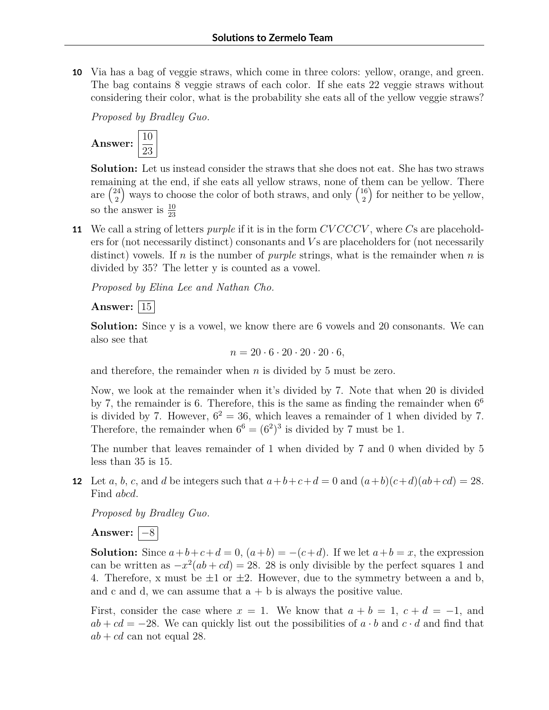**10** Via has a bag of veggie straws, which come in three colors: yellow, orange, and green. The bag contains 8 veggie straws of each color. If she eats 22 veggie straws without considering their color, what is the probability she eats all of the yellow veggie straws?

*Proposed by Bradley Guo.*



**Solution:** Let us instead consider the straws that she does not eat. She has two straws remaining at the end, if she eats all yellow straws, none of them can be yellow. There are  $\binom{24}{2}$ 2 ) ways to choose the color of both straws, and only  $\binom{16}{2}$ 2 ) for neither to be yellow, so the answer is  $\frac{10}{23}$ 

**11** We call a string of letters *purple* if it is in the form *CV CCCV* , where *C*s are placeholders for (not necessarily distinct) consonants and *V* s are placeholders for (not necessarily distinct) vowels. If *n* is the number of *purple* strings, what is the remainder when *n* is divided by 35? The letter y is counted as a vowel.

*Proposed by Elina Lee and Nathan Cho.*

**Answer:** 15

**Solution:** Since y is a vowel, we know there are 6 vowels and 20 consonants. We can also see that

 $n = 20 \cdot 6 \cdot 20 \cdot 20 \cdot 20 \cdot 6$ 

and therefore, the remainder when *n* is divided by 5 must be zero.

Now, we look at the remainder when it's divided by 7. Note that when 20 is divided by 7, the remainder is 6. Therefore, this is the same as finding the remainder when  $6<sup>6</sup>$ is divided by 7. However,  $6^2 = 36$ , which leaves a remainder of 1 when divided by 7. Therefore, the remainder when  $6^6 = (6^2)^3$  is divided by 7 must be 1.

The number that leaves remainder of 1 when divided by 7 and 0 when divided by 5 less than 35 is 15.

**12** Let *a*, *b*, *c*, and *d* be integers such that  $a+b+c+d=0$  and  $(a+b)(c+d)(ab+cd)=28$ . Find *abcd*.

*Proposed by Bradley Guo.*

Answer:  $|-8$ 

**Solution:** Since  $a+b+c+d=0$ ,  $(a+b) = -(c+d)$ . If we let  $a+b=x$ , the expression can be written as  $-x^2(ab + cd) = 28$ . 28 is only divisible by the perfect squares 1 and 4. Therefore, x must be  $\pm 1$  or  $\pm 2$ . However, due to the symmetry between a and b, and c and d, we can assume that  $a + b$  is always the positive value.

First, consider the case where  $x = 1$ . We know that  $a + b = 1$ ,  $c + d = -1$ , and  $ab + cd = -28$ . We can quickly list out the possibilities of  $a \cdot b$  and  $c \cdot d$  and find that  $ab + cd$  can not equal 28.